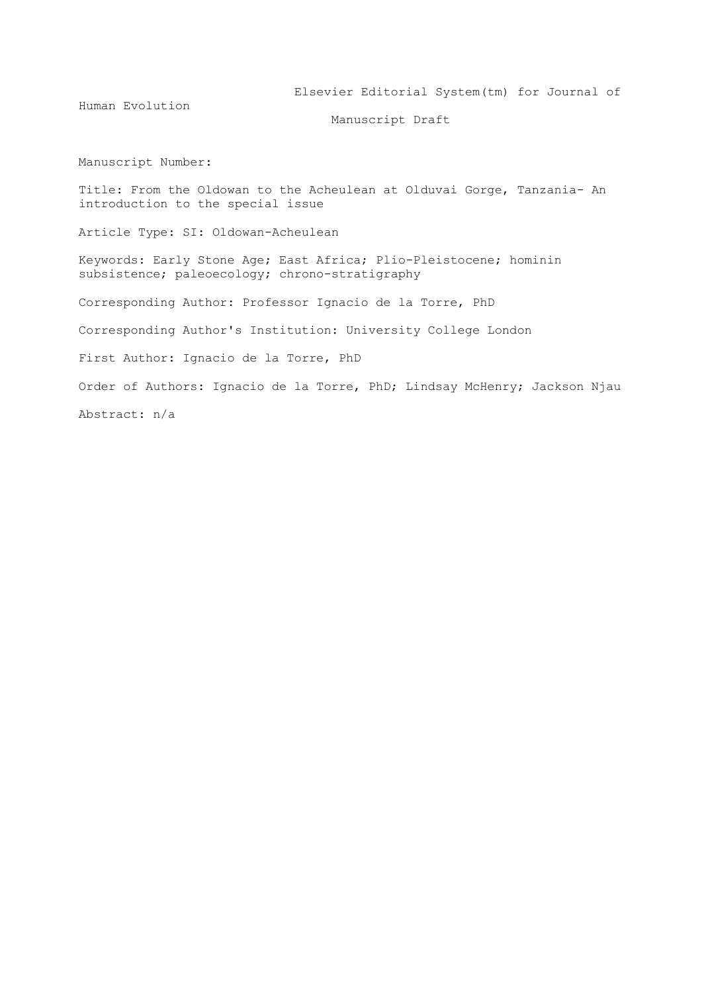Human Evolution

Elsevier Editorial System(tm) for Journal of

Manuscript Draft

Manuscript Number:

Title: From the Oldowan to the Acheulean at Olduvai Gorge, Tanzania- An introduction to the special issue

Article Type: SI: Oldowan-Acheulean

Keywords: Early Stone Age; East Africa; Plio-Pleistocene; hominin subsistence; paleoecology; chrono-stratigraphy

Corresponding Author: Professor Ignacio de la Torre, PhD

Corresponding Author's Institution: University College London

First Author: Ignacio de la Torre, PhD

Order of Authors: Ignacio de la Torre, PhD; Lindsay McHenry; Jackson Njau

Abstract: n/a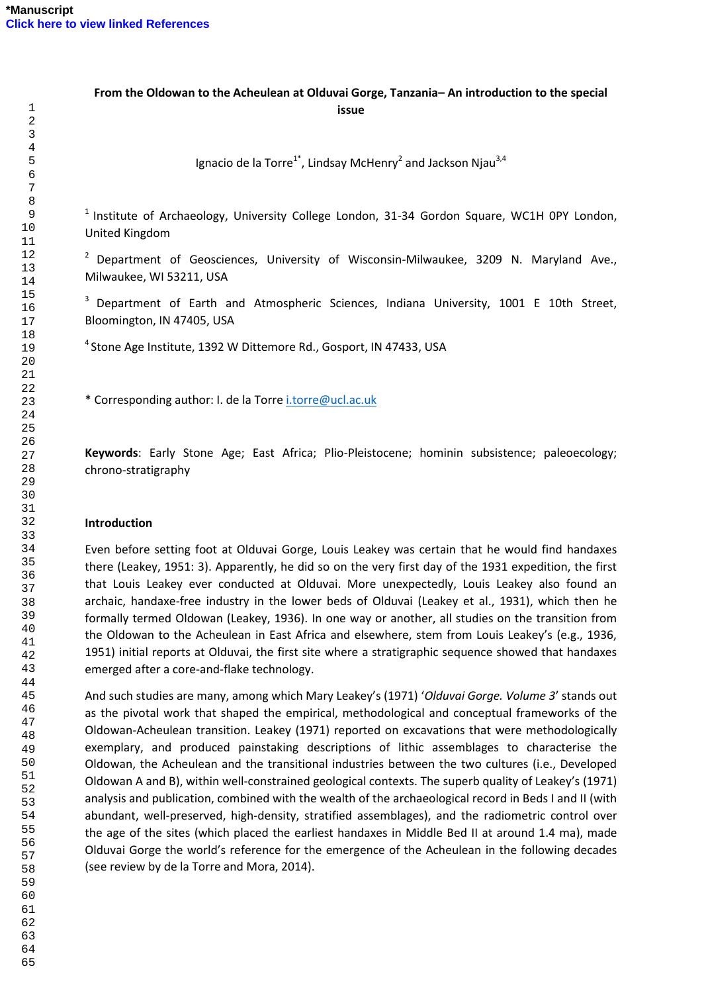# **From the Oldowan to the Acheulean at Olduvai Gorge, Tanzania– An introduction to the special issue**

Ignacio de la Torre<sup>1\*</sup>, Lindsay McHenry<sup>2</sup> and Jackson Njau<sup>3,4</sup>

 Institute of Archaeology, University College London, 31-34 Gordon Square, WC1H 0PY London, United Kingdom

 Department of Geosciences, University of Wisconsin-Milwaukee, 3209 N. Maryland Ave., Milwaukee, WI 53211, USA

<sup>3</sup> Department of Earth and Atmospheric Sciences, Indiana University, 1001 E 10th Street, Bloomington, IN 47405, USA

<sup>4</sup> Stone Age Institute, 1392 W Dittemore Rd., Gosport, IN 47433, USA

\* Corresponding author: I. de la Torr[e i.torre@ucl.ac.uk](mailto:i.torre@ucl.ac.uk)

**Keywords**: Early Stone Age; East Africa; Plio-Pleistocene; hominin subsistence; paleoecology; chrono-stratigraphy

#### **Introduction**

Even before setting foot at Olduvai Gorge, Louis Leakey was certain that he would find handaxes there (Leakey, 1951: 3). Apparently, he did so on the very first day of the 1931 expedition, the first that Louis Leakey ever conducted at Olduvai. More unexpectedly, Louis Leakey also found an archaic, handaxe-free industry in the lower beds of Olduvai (Leakey et al., 1931), which then he formally termed Oldowan (Leakey, 1936). In one way or another, all studies on the transition from the Oldowan to the Acheulean in East Africa and elsewhere, stem from Louis Leakey's (e.g., 1936, 1951) initial reports at Olduvai, the first site where a stratigraphic sequence showed that handaxes emerged after a core-and-flake technology.

And such studies are many, among which Mary Leakey's (1971) '*Olduvai Gorge. Volume 3*' stands out as the pivotal work that shaped the empirical, methodological and conceptual frameworks of the Oldowan-Acheulean transition. Leakey (1971) reported on excavations that were methodologically exemplary, and produced painstaking descriptions of lithic assemblages to characterise the Oldowan, the Acheulean and the transitional industries between the two cultures (i.e., Developed Oldowan A and B), within well-constrained geological contexts. The superb quality of Leakey's (1971) analysis and publication, combined with the wealth of the archaeological record in Beds I and II (with abundant, well-preserved, high-density, stratified assemblages), and the radiometric control over the age of the sites (which placed the earliest handaxes in Middle Bed II at around 1.4 ma), made Olduvai Gorge the world's reference for the emergence of the Acheulean in the following decades (see review by de la Torre and Mora, 2014).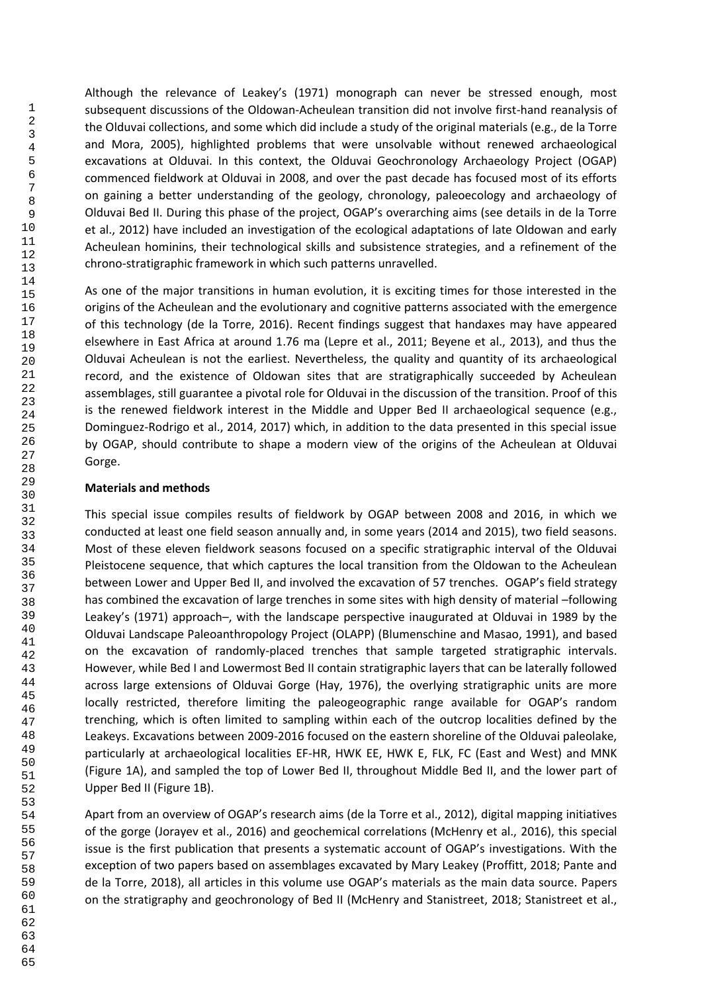Although the relevance of Leakey's (1971) monograph can never be stressed enough, most subsequent discussions of the Oldowan-Acheulean transition did not involve first-hand reanalysis of the Olduvai collections, and some which did include a study of the original materials (e.g., de la Torre and Mora, 2005), highlighted problems that were unsolvable without renewed archaeological excavations at Olduvai. In this context, the Olduvai Geochronology Archaeology Project (OGAP) commenced fieldwork at Olduvai in 2008, and over the past decade has focused most of its efforts on gaining a better understanding of the geology, chronology, paleoecology and archaeology of Olduvai Bed II. During this phase of the project, OGAP's overarching aims (see details in de la Torre et al., 2012) have included an investigation of the ecological adaptations of late Oldowan and early Acheulean hominins, their technological skills and subsistence strategies, and a refinement of the chrono-stratigraphic framework in which such patterns unravelled.

As one of the major transitions in human evolution, it is exciting times for those interested in the origins of the Acheulean and the evolutionary and cognitive patterns associated with the emergence of this technology (de la Torre, 2016). Recent findings suggest that handaxes may have appeared elsewhere in East Africa at around 1.76 ma (Lepre et al., 2011; Beyene et al., 2013), and thus the Olduvai Acheulean is not the earliest. Nevertheless, the quality and quantity of its archaeological record, and the existence of Oldowan sites that are stratigraphically succeeded by Acheulean assemblages, still guarantee a pivotal role for Olduvai in the discussion of the transition. Proof of this is the renewed fieldwork interest in the Middle and Upper Bed II archaeological sequence (e.g., Dominguez-Rodrigo et al., 2014, 2017) which, in addition to the data presented in this special issue by OGAP, should contribute to shape a modern view of the origins of the Acheulean at Olduvai Gorge.

## **Materials and methods**

This special issue compiles results of fieldwork by OGAP between 2008 and 2016, in which we conducted at least one field season annually and, in some years (2014 and 2015), two field seasons. Most of these eleven fieldwork seasons focused on a specific stratigraphic interval of the Olduvai Pleistocene sequence, that which captures the local transition from the Oldowan to the Acheulean between Lower and Upper Bed II, and involved the excavation of 57 trenches. OGAP's field strategy has combined the excavation of large trenches in some sites with high density of material –following Leakey's (1971) approach–, with the landscape perspective inaugurated at Olduvai in 1989 by the Olduvai Landscape Paleoanthropology Project (OLAPP) (Blumenschine and Masao, 1991), and based on the excavation of randomly-placed trenches that sample targeted stratigraphic intervals. However, while Bed I and Lowermost Bed II contain stratigraphic layers that can be laterally followed across large extensions of Olduvai Gorge (Hay, 1976), the overlying stratigraphic units are more locally restricted, therefore limiting the paleogeographic range available for OGAP's random trenching, which is often limited to sampling within each of the outcrop localities defined by the Leakeys. Excavations between 2009-2016 focused on the eastern shoreline of the Olduvai paleolake, particularly at archaeological localities EF-HR, HWK EE, HWK E, FLK, FC (East and West) and MNK (Figure 1A), and sampled the top of Lower Bed II, throughout Middle Bed II, and the lower part of Upper Bed II (Figure 1B).

Apart from an overview of OGAP's research aims (de la Torre et al., 2012), digital mapping initiatives of the gorge (Jorayev et al., 2016) and geochemical correlations (McHenry et al., 2016), this special issue is the first publication that presents a systematic account of OGAP's investigations. With the exception of two papers based on assemblages excavated by Mary Leakey (Proffitt, 2018; Pante and de la Torre, 2018), all articles in this volume use OGAP's materials as the main data source. Papers on the stratigraphy and geochronology of Bed II (McHenry and Stanistreet, 2018; Stanistreet et al.,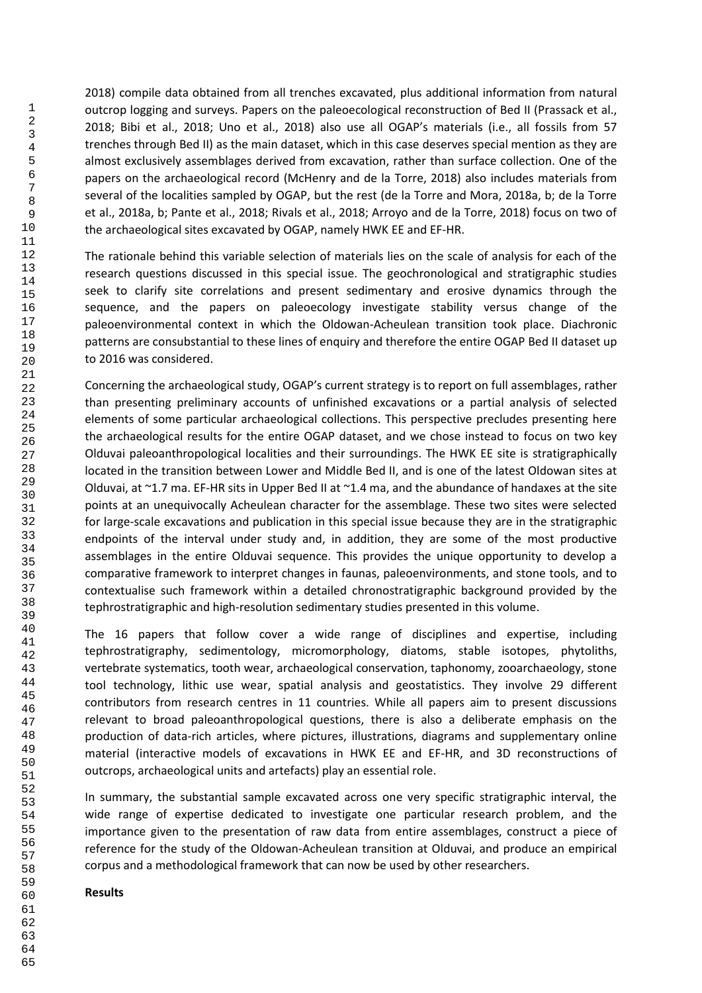2018) compile data obtained from all trenches excavated, plus additional information from natural outcrop logging and surveys. Papers on the paleoecological reconstruction of Bed II (Prassack et al., 2018; Bibi et al., 2018; Uno et al., 2018) also use all OGAP's materials (i.e., all fossils from 57 trenches through Bed II) as the main dataset, which in this case deserves special mention as they are almost exclusively assemblages derived from excavation, rather than surface collection. One of the papers on the archaeological record (McHenry and de la Torre, 2018) also includes materials from several of the localities sampled by OGAP, but the rest (de la Torre and Mora, 2018a, b; de la Torre et al., 2018a, b; Pante et al., 2018; Rivals et al., 2018; Arroyo and de la Torre, 2018) focus on two of the archaeological sites excavated by OGAP, namely HWK EE and EF-HR.

The rationale behind this variable selection of materials lies on the scale of analysis for each of the research questions discussed in this special issue. The geochronological and stratigraphic studies seek to clarify site correlations and present sedimentary and erosive dynamics through the sequence, and the papers on paleoecology investigate stability versus change of the paleoenvironmental context in which the Oldowan-Acheulean transition took place. Diachronic patterns are consubstantial to these lines of enquiry and therefore the entire OGAP Bed II dataset up to 2016 was considered.

Concerning the archaeological study, OGAP's current strategy is to report on full assemblages, rather than presenting preliminary accounts of unfinished excavations or a partial analysis of selected elements of some particular archaeological collections. This perspective precludes presenting here the archaeological results for the entire OGAP dataset, and we chose instead to focus on two key Olduvai paleoanthropological localities and their surroundings. The HWK EE site is stratigraphically located in the transition between Lower and Middle Bed II, and is one of the latest Oldowan sites at Olduvai, at  $\sim$ 1.7 ma. EF-HR sits in Upper Bed II at  $\sim$ 1.4 ma, and the abundance of handaxes at the site points at an unequivocally Acheulean character for the assemblage. These two sites were selected for large-scale excavations and publication in this special issue because they are in the stratigraphic endpoints of the interval under study and, in addition, they are some of the most productive assemblages in the entire Olduvai sequence. This provides the unique opportunity to develop a comparative framework to interpret changes in faunas, paleoenvironments, and stone tools, and to contextualise such framework within a detailed chronostratigraphic background provided by the tephrostratigraphic and high-resolution sedimentary studies presented in this volume.

The 16 papers that follow cover a wide range of disciplines and expertise, including tephrostratigraphy, sedimentology, micromorphology, diatoms, stable isotopes, phytoliths, vertebrate systematics, tooth wear, archaeological conservation, taphonomy, zooarchaeology, stone tool technology, lithic use wear, spatial analysis and geostatistics. They involve 29 different contributors from research centres in 11 countries. While all papers aim to present discussions relevant to broad paleoanthropological questions, there is also a deliberate emphasis on the production of data-rich articles, where pictures, illustrations, diagrams and supplementary online material (interactive models of excavations in HWK EE and EF-HR, and 3D reconstructions of outcrops, archaeological units and artefacts) play an essential role.

In summary, the substantial sample excavated across one very specific stratigraphic interval, the wide range of expertise dedicated to investigate one particular research problem, and the importance given to the presentation of raw data from entire assemblages, construct a piece of reference for the study of the Oldowan-Acheulean transition at Olduvai, and produce an empirical corpus and a methodological framework that can now be used by other researchers.

#### **Results**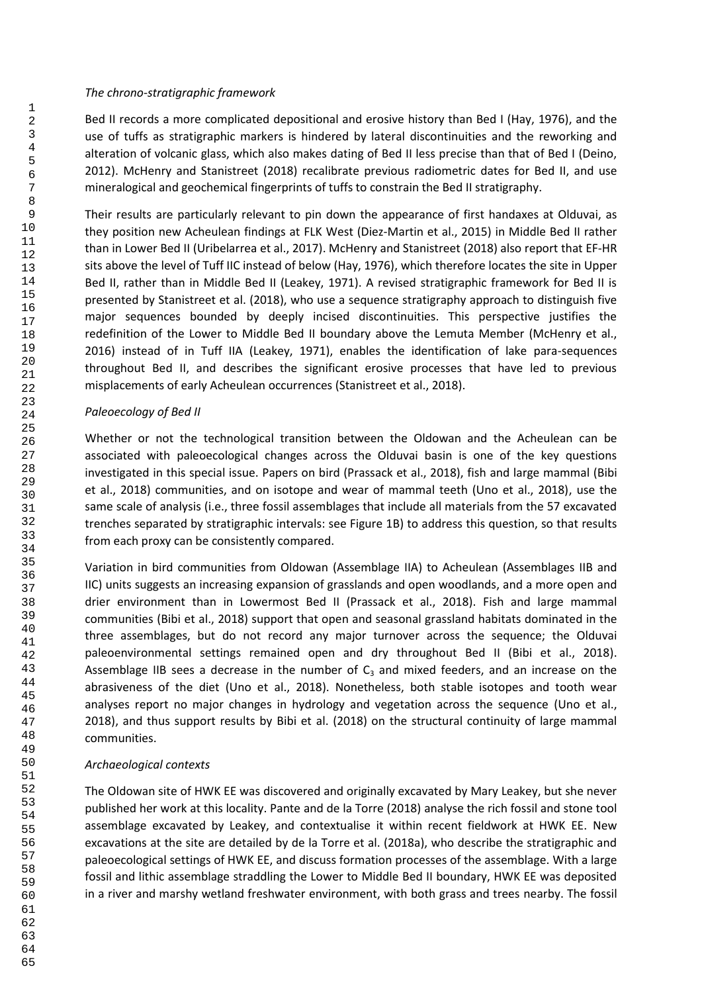## *The chrono-stratigraphic framework*

Bed II records a more complicated depositional and erosive history than Bed I (Hay, 1976), and the use of tuffs as stratigraphic markers is hindered by lateral discontinuities and the reworking and alteration of volcanic glass, which also makes dating of Bed II less precise than that of Bed I (Deino, 2012). McHenry and Stanistreet (2018) recalibrate previous radiometric dates for Bed II, and use mineralogical and geochemical fingerprints of tuffs to constrain the Bed II stratigraphy.

Their results are particularly relevant to pin down the appearance of first handaxes at Olduvai, as they position new Acheulean findings at FLK West (Diez-Martin et al., 2015) in Middle Bed II rather than in Lower Bed II (Uribelarrea et al., 2017). McHenry and Stanistreet (2018) also report that EF-HR sits above the level of Tuff IIC instead of below (Hay, 1976), which therefore locates the site in Upper Bed II, rather than in Middle Bed II (Leakey, 1971). A revised stratigraphic framework for Bed II is presented by Stanistreet et al. (2018), who use a sequence stratigraphy approach to distinguish five major sequences bounded by deeply incised discontinuities. This perspective justifies the redefinition of the Lower to Middle Bed II boundary above the Lemuta Member (McHenry et al., 2016) instead of in Tuff IIA (Leakey, 1971), enables the identification of lake para-sequences throughout Bed II, and describes the significant erosive processes that have led to previous misplacements of early Acheulean occurrences (Stanistreet et al., 2018).

# *Paleoecology of Bed II*

Whether or not the technological transition between the Oldowan and the Acheulean can be associated with paleoecological changes across the Olduvai basin is one of the key questions investigated in this special issue. Papers on bird (Prassack et al., 2018), fish and large mammal (Bibi et al., 2018) communities, and on isotope and wear of mammal teeth (Uno et al., 2018), use the same scale of analysis (i.e., three fossil assemblages that include all materials from the 57 excavated trenches separated by stratigraphic intervals: see Figure 1B) to address this question, so that results from each proxy can be consistently compared.

Variation in bird communities from Oldowan (Assemblage IIA) to Acheulean (Assemblages IIB and IIC) units suggests an increasing expansion of grasslands and open woodlands, and a more open and drier environment than in Lowermost Bed II (Prassack et al., 2018). Fish and large mammal communities (Bibi et al., 2018) support that open and seasonal grassland habitats dominated in the three assemblages, but do not record any major turnover across the sequence; the Olduvai paleoenvironmental settings remained open and dry throughout Bed II (Bibi et al., 2018). Assemblage IIB sees a decrease in the number of  $C_3$  and mixed feeders, and an increase on the abrasiveness of the diet (Uno et al., 2018). Nonetheless, both stable isotopes and tooth wear analyses report no major changes in hydrology and vegetation across the sequence (Uno et al., 2018), and thus support results by Bibi et al. (2018) on the structural continuity of large mammal communities.

# *Archaeological contexts*

The Oldowan site of HWK EE was discovered and originally excavated by Mary Leakey, but she never published her work at this locality. Pante and de la Torre (2018) analyse the rich fossil and stone tool assemblage excavated by Leakey, and contextualise it within recent fieldwork at HWK EE. New excavations at the site are detailed by de la Torre et al. (2018a), who describe the stratigraphic and paleoecological settings of HWK EE, and discuss formation processes of the assemblage. With a large fossil and lithic assemblage straddling the Lower to Middle Bed II boundary, HWK EE was deposited in a river and marshy wetland freshwater environment, with both grass and trees nearby. The fossil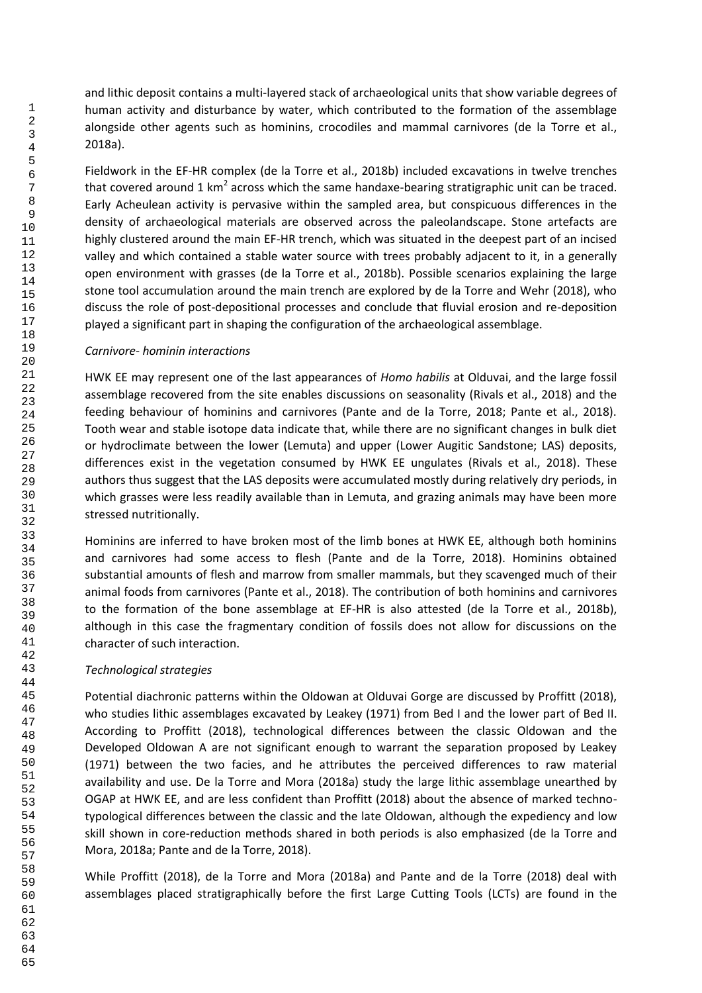and lithic deposit contains a multi-layered stack of archaeological units that show variable degrees of human activity and disturbance by water, which contributed to the formation of the assemblage alongside other agents such as hominins, crocodiles and mammal carnivores (de la Torre et al., 2018a).

Fieldwork in the EF-HR complex (de la Torre et al., 2018b) included excavations in twelve trenches that covered around 1 km<sup>2</sup> across which the same handaxe-bearing stratigraphic unit can be traced. Early Acheulean activity is pervasive within the sampled area, but conspicuous differences in the density of archaeological materials are observed across the paleolandscape. Stone artefacts are highly clustered around the main EF-HR trench, which was situated in the deepest part of an incised valley and which contained a stable water source with trees probably adjacent to it, in a generally open environment with grasses (de la Torre et al., 2018b). Possible scenarios explaining the large stone tool accumulation around the main trench are explored by de la Torre and Wehr (2018), who discuss the role of post-depositional processes and conclude that fluvial erosion and re-deposition played a significant part in shaping the configuration of the archaeological assemblage.

# *Carnivore- hominin interactions*

HWK EE may represent one of the last appearances of *Homo habilis* at Olduvai, and the large fossil assemblage recovered from the site enables discussions on seasonality (Rivals et al., 2018) and the feeding behaviour of hominins and carnivores (Pante and de la Torre, 2018; Pante et al., 2018). Tooth wear and stable isotope data indicate that, while there are no significant changes in bulk diet or hydroclimate between the lower (Lemuta) and upper (Lower Augitic Sandstone; LAS) deposits, differences exist in the vegetation consumed by HWK EE ungulates (Rivals et al., 2018). These authors thus suggest that the LAS deposits were accumulated mostly during relatively dry periods, in which grasses were less readily available than in Lemuta, and grazing animals may have been more stressed nutritionally.

Hominins are inferred to have broken most of the limb bones at HWK EE, although both hominins and carnivores had some access to flesh (Pante and de la Torre, 2018). Hominins obtained substantial amounts of flesh and marrow from smaller mammals, but they scavenged much of their animal foods from carnivores (Pante et al., 2018). The contribution of both hominins and carnivores to the formation of the bone assemblage at EF-HR is also attested (de la Torre et al., 2018b), although in this case the fragmentary condition of fossils does not allow for discussions on the character of such interaction.

# *Technological strategies*

Potential diachronic patterns within the Oldowan at Olduvai Gorge are discussed by Proffitt (2018), who studies lithic assemblages excavated by Leakey (1971) from Bed I and the lower part of Bed II. According to Proffitt (2018), technological differences between the classic Oldowan and the Developed Oldowan A are not significant enough to warrant the separation proposed by Leakey (1971) between the two facies, and he attributes the perceived differences to raw material availability and use. De la Torre and Mora (2018a) study the large lithic assemblage unearthed by OGAP at HWK EE, and are less confident than Proffitt (2018) about the absence of marked technotypological differences between the classic and the late Oldowan, although the expediency and low skill shown in core-reduction methods shared in both periods is also emphasized (de la Torre and Mora, 2018a; Pante and de la Torre, 2018).

While Proffitt (2018), de la Torre and Mora (2018a) and Pante and de la Torre (2018) deal with assemblages placed stratigraphically before the first Large Cutting Tools (LCTs) are found in the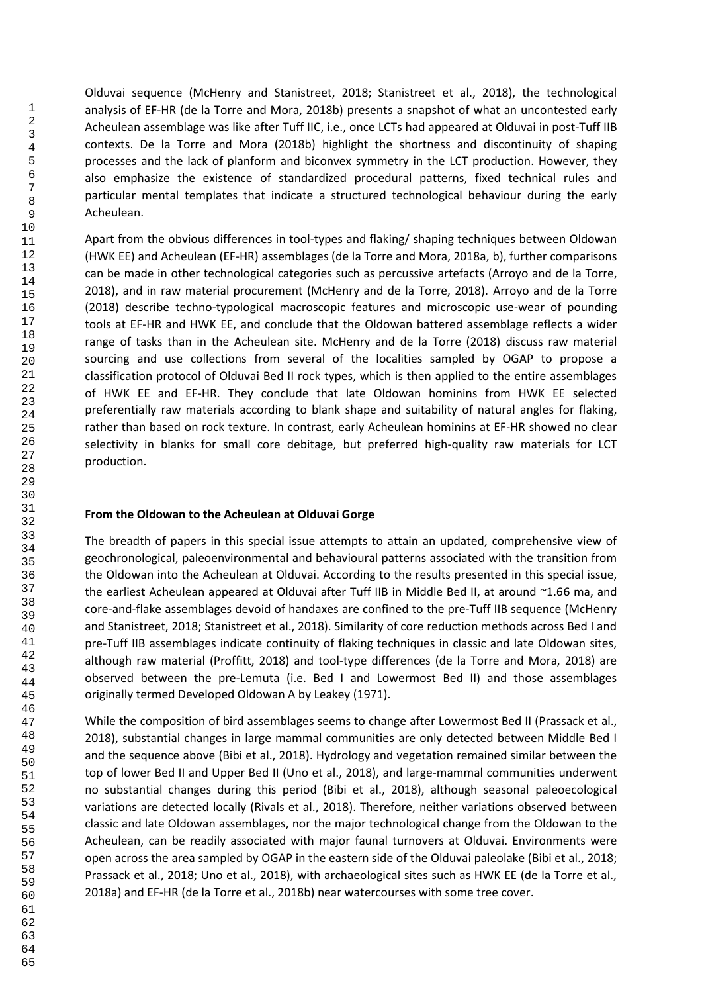Olduvai sequence (McHenry and Stanistreet, 2018; Stanistreet et al., 2018), the technological analysis of EF-HR (de la Torre and Mora, 2018b) presents a snapshot of what an uncontested early Acheulean assemblage was like after Tuff IIC, i.e., once LCTs had appeared at Olduvai in post-Tuff IIB contexts. De la Torre and Mora (2018b) highlight the shortness and discontinuity of shaping processes and the lack of planform and biconvex symmetry in the LCT production. However, they also emphasize the existence of standardized procedural patterns, fixed technical rules and particular mental templates that indicate a structured technological behaviour during the early Acheulean.

Apart from the obvious differences in tool-types and flaking/ shaping techniques between Oldowan (HWK EE) and Acheulean (EF-HR) assemblages (de la Torre and Mora, 2018a, b), further comparisons can be made in other technological categories such as percussive artefacts (Arroyo and de la Torre, 2018), and in raw material procurement (McHenry and de la Torre, 2018). Arroyo and de la Torre (2018) describe techno-typological macroscopic features and microscopic use-wear of pounding tools at EF-HR and HWK EE, and conclude that the Oldowan battered assemblage reflects a wider range of tasks than in the Acheulean site. McHenry and de la Torre (2018) discuss raw material sourcing and use collections from several of the localities sampled by OGAP to propose a classification protocol of Olduvai Bed II rock types, which is then applied to the entire assemblages of HWK EE and EF-HR. They conclude that late Oldowan hominins from HWK EE selected preferentially raw materials according to blank shape and suitability of natural angles for flaking, rather than based on rock texture. In contrast, early Acheulean hominins at EF-HR showed no clear selectivity in blanks for small core debitage, but preferred high-quality raw materials for LCT production.

# **From the Oldowan to the Acheulean at Olduvai Gorge**

The breadth of papers in this special issue attempts to attain an updated, comprehensive view of geochronological, paleoenvironmental and behavioural patterns associated with the transition from the Oldowan into the Acheulean at Olduvai. According to the results presented in this special issue, the earliest Acheulean appeared at Olduvai after Tuff IIB in Middle Bed II, at around ~1.66 ma, and core-and-flake assemblages devoid of handaxes are confined to the pre-Tuff IIB sequence (McHenry and Stanistreet, 2018; Stanistreet et al., 2018). Similarity of core reduction methods across Bed I and pre-Tuff IIB assemblages indicate continuity of flaking techniques in classic and late Oldowan sites, although raw material (Proffitt, 2018) and tool-type differences (de la Torre and Mora, 2018) are observed between the pre-Lemuta (i.e. Bed I and Lowermost Bed II) and those assemblages originally termed Developed Oldowan A by Leakey (1971).

While the composition of bird assemblages seems to change after Lowermost Bed II (Prassack et al., 2018), substantial changes in large mammal communities are only detected between Middle Bed I and the sequence above (Bibi et al., 2018). Hydrology and vegetation remained similar between the top of lower Bed II and Upper Bed II (Uno et al., 2018), and large-mammal communities underwent no substantial changes during this period (Bibi et al., 2018), although seasonal paleoecological variations are detected locally (Rivals et al., 2018). Therefore, neither variations observed between classic and late Oldowan assemblages, nor the major technological change from the Oldowan to the Acheulean, can be readily associated with major faunal turnovers at Olduvai. Environments were open across the area sampled by OGAP in the eastern side of the Olduvai paleolake (Bibi et al., 2018; Prassack et al., 2018; Uno et al., 2018), with archaeological sites such as HWK EE (de la Torre et al., 2018a) and EF-HR (de la Torre et al., 2018b) near watercourses with some tree cover.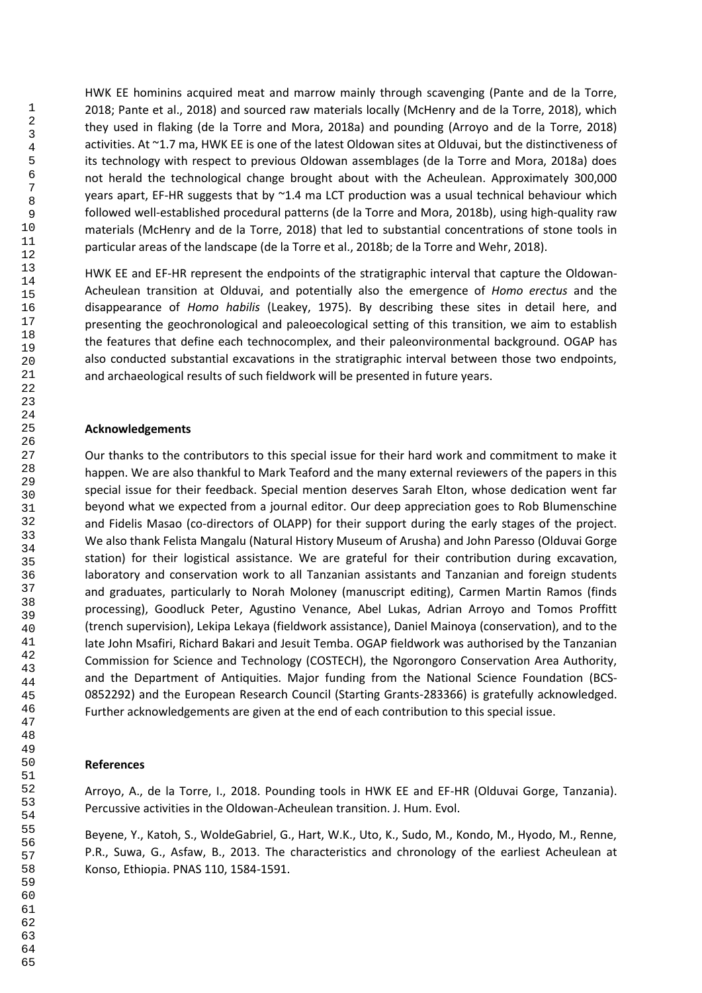HWK EE hominins acquired meat and marrow mainly through scavenging (Pante and de la Torre, 2018; Pante et al., 2018) and sourced raw materials locally (McHenry and de la Torre, 2018), which they used in flaking (de la Torre and Mora, 2018a) and pounding (Arroyo and de la Torre, 2018) activities. At ~1.7 ma, HWK EE is one of the latest Oldowan sites at Olduvai, but the distinctiveness of its technology with respect to previous Oldowan assemblages (de la Torre and Mora, 2018a) does not herald the technological change brought about with the Acheulean. Approximately 300,000 years apart, EF-HR suggests that by  $^{\sim}1.4$  ma LCT production was a usual technical behaviour which followed well-established procedural patterns (de la Torre and Mora, 2018b), using high-quality raw materials (McHenry and de la Torre, 2018) that led to substantial concentrations of stone tools in particular areas of the landscape (de la Torre et al., 2018b; de la Torre and Wehr, 2018).

HWK EE and EF-HR represent the endpoints of the stratigraphic interval that capture the Oldowan-Acheulean transition at Olduvai, and potentially also the emergence of *Homo erectus* and the disappearance of *Homo habilis* (Leakey, 1975). By describing these sites in detail here, and presenting the geochronological and paleoecological setting of this transition, we aim to establish the features that define each technocomplex, and their paleonvironmental background. OGAP has also conducted substantial excavations in the stratigraphic interval between those two endpoints, and archaeological results of such fieldwork will be presented in future years.

## **Acknowledgements**

Our thanks to the contributors to this special issue for their hard work and commitment to make it happen. We are also thankful to Mark Teaford and the many external reviewers of the papers in this special issue for their feedback. Special mention deserves Sarah Elton, whose dedication went far beyond what we expected from a journal editor. Our deep appreciation goes to Rob Blumenschine and Fidelis Masao (co-directors of OLAPP) for their support during the early stages of the project. We also thank Felista Mangalu (Natural History Museum of Arusha) and John Paresso (Olduvai Gorge station) for their logistical assistance. We are grateful for their contribution during excavation, laboratory and conservation work to all Tanzanian assistants and Tanzanian and foreign students and graduates, particularly to Norah Moloney (manuscript editing), Carmen Martin Ramos (finds processing), Goodluck Peter, Agustino Venance, Abel Lukas, Adrian Arroyo and Tomos Proffitt (trench supervision), Lekipa Lekaya (fieldwork assistance), Daniel Mainoya (conservation), and to the late John Msafiri, Richard Bakari and Jesuit Temba. OGAP fieldwork was authorised by the Tanzanian Commission for Science and Technology (COSTECH), the Ngorongoro Conservation Area Authority, and the Department of Antiquities. Major funding from the National Science Foundation (BCS-0852292) and the European Research Council (Starting Grants-283366) is gratefully acknowledged. Further acknowledgements are given at the end of each contribution to this special issue.

#### **References**

Arroyo, A., de la Torre, I., 2018. Pounding tools in HWK EE and EF-HR (Olduvai Gorge, Tanzania). Percussive activities in the Oldowan-Acheulean transition. J. Hum. Evol.

Beyene, Y., Katoh, S., WoldeGabriel, G., Hart, W.K., Uto, K., Sudo, M., Kondo, M., Hyodo, M., Renne, P.R., Suwa, G., Asfaw, B., 2013. The characteristics and chronology of the earliest Acheulean at Konso, Ethiopia. PNAS 110, 1584-1591.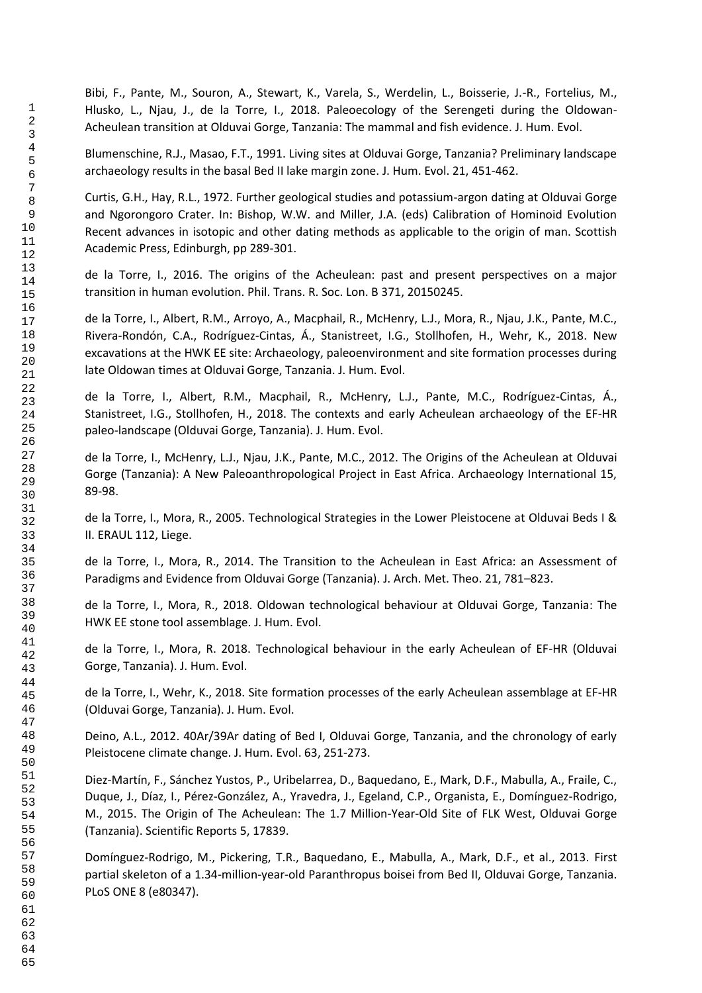Bibi, F., Pante, M., Souron, A., Stewart, K., Varela, S., Werdelin, L., Boisserie, J.-R., Fortelius, M., Hlusko, L., Njau, J., de la Torre, I., 2018. Paleoecology of the Serengeti during the Oldowan-Acheulean transition at Olduvai Gorge, Tanzania: The mammal and fish evidence. J. Hum. Evol.

Blumenschine, R.J., Masao, F.T., 1991. Living sites at Olduvai Gorge, Tanzania? Preliminary landscape archaeology results in the basal Bed II lake margin zone. J. Hum. Evol. 21, 451-462.

Curtis, G.H., Hay, R.L., 1972. Further geological studies and potassium-argon dating at Olduvai Gorge and Ngorongoro Crater. In: Bishop, W.W. and Miller, J.A. (eds) Calibration of Hominoid Evolution Recent advances in isotopic and other dating methods as applicable to the origin of man. Scottish Academic Press, Edinburgh, pp 289-301.

de la Torre, I., 2016. The origins of the Acheulean: past and present perspectives on a major transition in human evolution. Phil. Trans. R. Soc. Lon. B 371, 20150245.

de la Torre, I., Albert, R.M., Arroyo, A., Macphail, R., McHenry, L.J., Mora, R., Njau, J.K., Pante, M.C., Rivera-Rondón, C.A., Rodríguez-Cintas, Á., Stanistreet, I.G., Stollhofen, H., Wehr, K., 2018. New excavations at the HWK EE site: Archaeology, paleoenvironment and site formation processes during late Oldowan times at Olduvai Gorge, Tanzania. J. Hum. Evol.

de la Torre, I., Albert, R.M., Macphail, R., McHenry, L.J., Pante, M.C., Rodríguez-Cintas, Á., Stanistreet, I.G., Stollhofen, H., 2018. The contexts and early Acheulean archaeology of the EF-HR paleo-landscape (Olduvai Gorge, Tanzania). J. Hum. Evol.

de la Torre, I., McHenry, L.J., Njau, J.K., Pante, M.C., 2012. The Origins of the Acheulean at Olduvai Gorge (Tanzania): A New Paleoanthropological Project in East Africa. Archaeology International 15, 89-98.

de la Torre, I., Mora, R., 2005. Technological Strategies in the Lower Pleistocene at Olduvai Beds I & II. ERAUL 112, Liege.

de la Torre, I., Mora, R., 2014. The Transition to the Acheulean in East Africa: an Assessment of Paradigms and Evidence from Olduvai Gorge (Tanzania). J. Arch. Met. Theo. 21, 781–823.

de la Torre, I., Mora, R., 2018. Oldowan technological behaviour at Olduvai Gorge, Tanzania: The HWK EE stone tool assemblage. J. Hum. Evol.

de la Torre, I., Mora, R. 2018. Technological behaviour in the early Acheulean of EF-HR (Olduvai Gorge, Tanzania). J. Hum. Evol.

de la Torre, I., Wehr, K., 2018. Site formation processes of the early Acheulean assemblage at EF-HR (Olduvai Gorge, Tanzania). J. Hum. Evol.

Deino, A.L., 2012. 40Ar/39Ar dating of Bed I, Olduvai Gorge, Tanzania, and the chronology of early Pleistocene climate change. J. Hum. Evol. 63, 251-273.

Diez-Martín, F., Sánchez Yustos, P., Uribelarrea, D., Baquedano, E., Mark, D.F., Mabulla, A., Fraile, C., Duque, J., Díaz, I., Pérez-González, A., Yravedra, J., Egeland, C.P., Organista, E., Domínguez-Rodrigo, M., 2015. The Origin of The Acheulean: The 1.7 Million-Year-Old Site of FLK West, Olduvai Gorge (Tanzania). Scientific Reports 5, 17839.

Domínguez-Rodrigo, M., Pickering, T.R., Baquedano, E., Mabulla, A., Mark, D.F., et al., 2013. First partial skeleton of a 1.34-million-year-old Paranthropus boisei from Bed II, Olduvai Gorge, Tanzania. PLoS ONE 8 (e80347).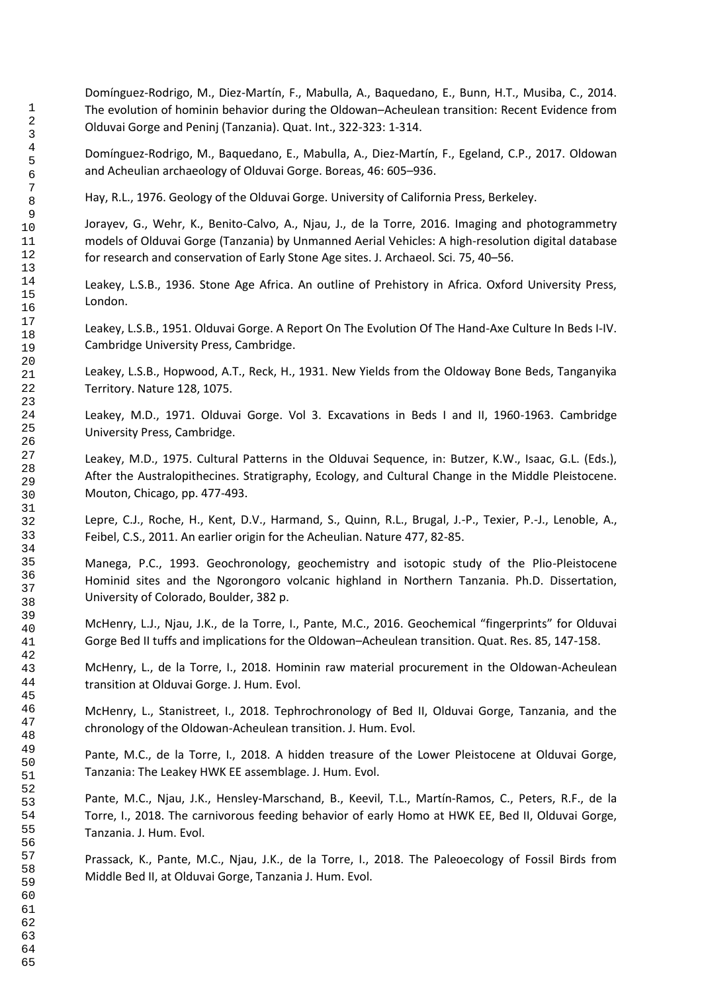Domínguez-Rodrigo, M., Diez-Martín, F., Mabulla, A., Baquedano, E., Bunn, H.T., Musiba, C., 2014. The evolution of hominin behavior during the Oldowan–Acheulean transition: Recent Evidence from Olduvai Gorge and Peninj (Tanzania). Quat. Int., 322-323: 1-314.

Domínguez-Rodrigo, M., Baquedano, E., Mabulla, A., Diez-Martín, F., Egeland, C.P., 2017. Oldowan and Acheulian archaeology of Olduvai Gorge. Boreas, 46: 605–936.

Hay, R.L., 1976. Geology of the Olduvai Gorge. University of California Press, Berkeley.

Jorayev, G., Wehr, K., Benito-Calvo, A., Njau, J., de la Torre, 2016. Imaging and photogrammetry models of Olduvai Gorge (Tanzania) by Unmanned Aerial Vehicles: A high-resolution digital database for research and conservation of Early Stone Age sites. J. Archaeol. Sci. 75, 40–56.

Leakey, L.S.B., 1936. Stone Age Africa. An outline of Prehistory in Africa. Oxford University Press, London.

Leakey, L.S.B., 1951. Olduvai Gorge. A Report On The Evolution Of The Hand-Axe Culture In Beds I-IV. Cambridge University Press, Cambridge.

Leakey, L.S.B., Hopwood, A.T., Reck, H., 1931. New Yields from the Oldoway Bone Beds, Tanganyika Territory. Nature 128, 1075.

Leakey, M.D., 1971. Olduvai Gorge. Vol 3. Excavations in Beds I and II, 1960-1963. Cambridge University Press, Cambridge.

Leakey, M.D., 1975. Cultural Patterns in the Olduvai Sequence, in: Butzer, K.W., Isaac, G.L. (Eds.), After the Australopithecines. Stratigraphy, Ecology, and Cultural Change in the Middle Pleistocene. Mouton, Chicago, pp. 477-493.

Lepre, C.J., Roche, H., Kent, D.V., Harmand, S., Quinn, R.L., Brugal, J.-P., Texier, P.-J., Lenoble, A., Feibel, C.S., 2011. An earlier origin for the Acheulian. Nature 477, 82-85.

Manega, P.C., 1993. Geochronology, geochemistry and isotopic study of the Plio-Pleistocene Hominid sites and the Ngorongoro volcanic highland in Northern Tanzania. Ph.D. Dissertation, University of Colorado, Boulder, 382 p.

McHenry, L.J., Njau, J.K., de la Torre, I., Pante, M.C., 2016. Geochemical "fingerprints" for Olduvai Gorge Bed II tuffs and implications for the Oldowan–Acheulean transition. Quat. Res. 85, 147-158.

McHenry, L., de la Torre, I., 2018. Hominin raw material procurement in the Oldowan-Acheulean transition at Olduvai Gorge. J. Hum. Evol.

McHenry, L., Stanistreet, I., 2018. Tephrochronology of Bed II, Olduvai Gorge, Tanzania, and the chronology of the Oldowan-Acheulean transition. J. Hum. Evol.

Pante, M.C., de la Torre, I., 2018. A hidden treasure of the Lower Pleistocene at Olduvai Gorge, Tanzania: The Leakey HWK EE assemblage. J. Hum. Evol.

Pante, M.C., Njau, J.K., Hensley-Marschand, B., Keevil, T.L., Martín-Ramos, C., Peters, R.F., de la Torre, I., 2018. The carnivorous feeding behavior of early Homo at HWK EE, Bed II, Olduvai Gorge, Tanzania. J. Hum. Evol.

Prassack, K., Pante, M.C., Njau, J.K., de la Torre, I., 2018. The Paleoecology of Fossil Birds from Middle Bed II, at Olduvai Gorge, Tanzania J. Hum. Evol.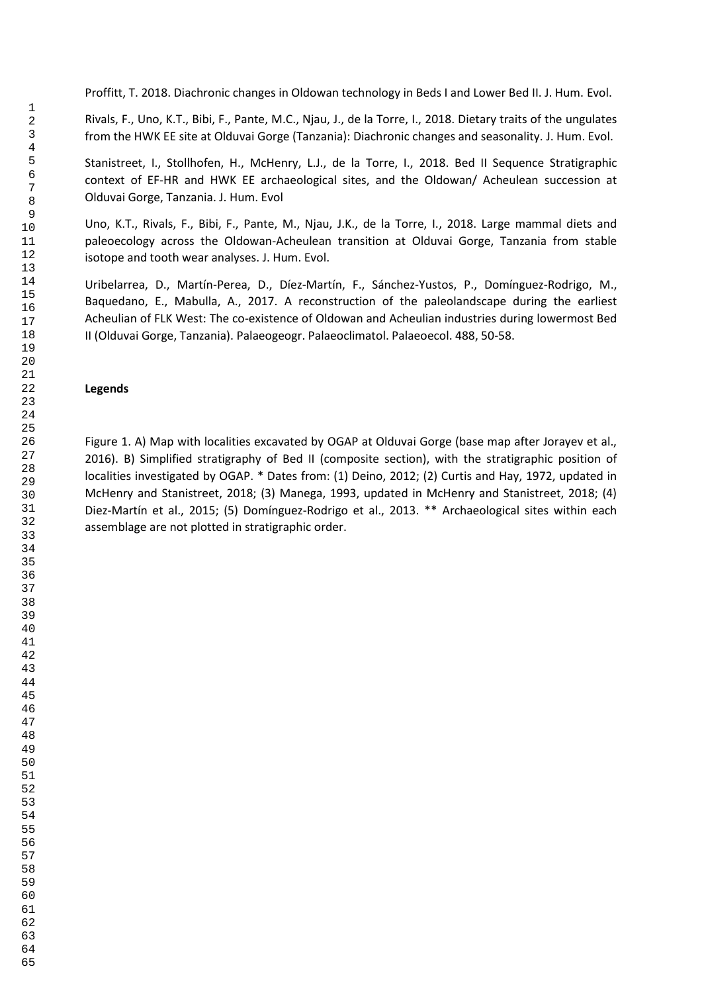Proffitt, T. 2018. Diachronic changes in Oldowan technology in Beds I and Lower Bed II. J. Hum. Evol.

Rivals, F., Uno, K.T., Bibi, F., Pante, M.C., Njau, J., de la Torre, I., 2018. Dietary traits of the ungulates from the HWK EE site at Olduvai Gorge (Tanzania): Diachronic changes and seasonality. J. Hum. Evol.

Stanistreet, I., Stollhofen, H., McHenry, L.J., de la Torre, I., 2018. Bed II Sequence Stratigraphic context of EF-HR and HWK EE archaeological sites, and the Oldowan/ Acheulean succession at Olduvai Gorge, Tanzania. J. Hum. Evol

Uno, K.T., Rivals, F., Bibi, F., Pante, M., Njau, J.K., de la Torre, I., 2018. Large mammal diets and paleoecology across the Oldowan-Acheulean transition at Olduvai Gorge, Tanzania from stable isotope and tooth wear analyses. J. Hum. Evol.

Uribelarrea, D., Martín-Perea, D., Díez-Martín, F., Sánchez-Yustos, P., Domínguez-Rodrigo, M., Baquedano, E., Mabulla, A., 2017. A reconstruction of the paleolandscape during the earliest Acheulian of FLK West: The co-existence of Oldowan and Acheulian industries during lowermost Bed II (Olduvai Gorge, Tanzania). Palaeogeogr. Palaeoclimatol. Palaeoecol. 488, 50-58.

## **Legends**

Figure 1. A) Map with localities excavated by OGAP at Olduvai Gorge (base map after Jorayev et al., 2016). B) Simplified stratigraphy of Bed II (composite section), with the stratigraphic position of localities investigated by OGAP. \* Dates from: (1) Deino, 2012; (2) Curtis and Hay, 1972, updated in McHenry and Stanistreet, 2018; (3) Manega, 1993, updated in McHenry and Stanistreet, 2018; (4) Diez-Martín et al., 2015; (5) Domínguez-Rodrigo et al., 2013. \*\* Archaeological sites within each assemblage are not plotted in stratigraphic order.